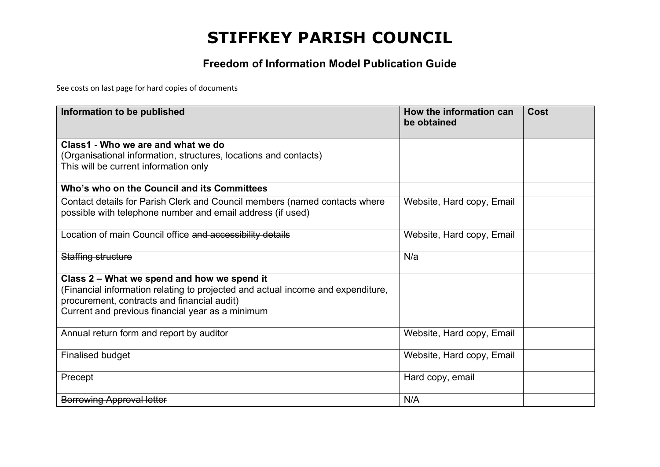#### **Freedom of Information Model Publication Guide**

See costs on last page for hard copies of documents

| Information to be published                                                     | How the information can<br>be obtained | Cost |
|---------------------------------------------------------------------------------|----------------------------------------|------|
| Class1 - Who we are and what we do                                              |                                        |      |
| (Organisational information, structures, locations and contacts)                |                                        |      |
| This will be current information only                                           |                                        |      |
| Who's who on the Council and its Committees                                     |                                        |      |
| Contact details for Parish Clerk and Council members (named contacts where      | Website, Hard copy, Email              |      |
| possible with telephone number and email address (if used)                      |                                        |      |
| Location of main Council office and accessibility details                       | Website, Hard copy, Email              |      |
| Staffing structure                                                              | N/a                                    |      |
| Class 2 – What we spend and how we spend it                                     |                                        |      |
| (Financial information relating to projected and actual income and expenditure, |                                        |      |
| procurement, contracts and financial audit)                                     |                                        |      |
| Current and previous financial year as a minimum                                |                                        |      |
| Annual return form and report by auditor                                        | Website, Hard copy, Email              |      |
|                                                                                 |                                        |      |
| <b>Finalised budget</b>                                                         | Website, Hard copy, Email              |      |
| Precept                                                                         | Hard copy, email                       |      |
| <b>Borrowing Approval letter</b>                                                | N/A                                    |      |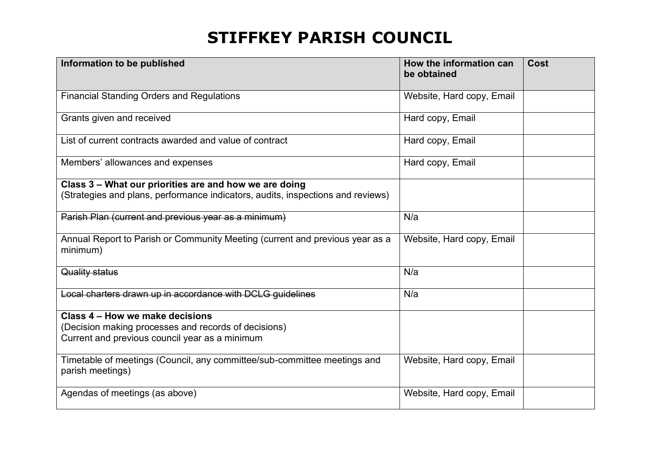| Information to be published                                                                                                               | How the information can<br>be obtained | <b>Cost</b> |
|-------------------------------------------------------------------------------------------------------------------------------------------|----------------------------------------|-------------|
| <b>Financial Standing Orders and Regulations</b>                                                                                          | Website, Hard copy, Email              |             |
| Grants given and received                                                                                                                 | Hard copy, Email                       |             |
| List of current contracts awarded and value of contract                                                                                   | Hard copy, Email                       |             |
| Members' allowances and expenses                                                                                                          | Hard copy, Email                       |             |
| Class 3 - What our priorities are and how we are doing<br>(Strategies and plans, performance indicators, audits, inspections and reviews) |                                        |             |
| Parish Plan (current and previous year as a minimum)                                                                                      | N/a                                    |             |
| Annual Report to Parish or Community Meeting (current and previous year as a<br>minimum)                                                  | Website, Hard copy, Email              |             |
| Quality status                                                                                                                            | N/a                                    |             |
| Local charters drawn up in accordance with DCLG quidelines                                                                                | N/a                                    |             |
| Class 4 – How we make decisions<br>(Decision making processes and records of decisions)<br>Current and previous council year as a minimum |                                        |             |
| Timetable of meetings (Council, any committee/sub-committee meetings and<br>parish meetings)                                              | Website, Hard copy, Email              |             |
| Agendas of meetings (as above)                                                                                                            | Website, Hard copy, Email              |             |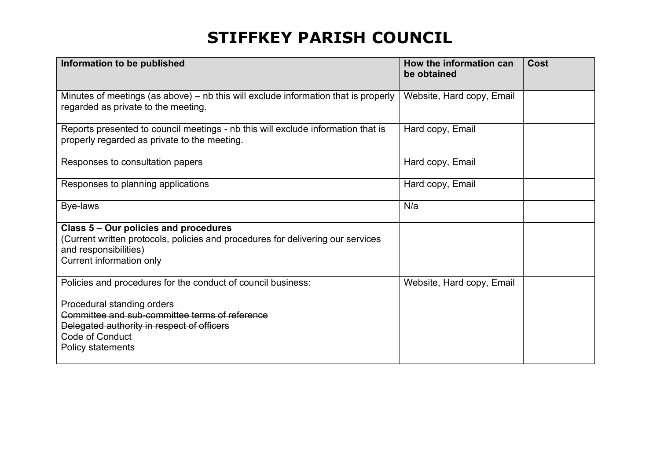| Information to be published                                                                                                                                                   | How the information can<br>be obtained | Cost |
|-------------------------------------------------------------------------------------------------------------------------------------------------------------------------------|----------------------------------------|------|
| Minutes of meetings (as above) - nb this will exclude information that is properly<br>regarded as private to the meeting.                                                     | Website, Hard copy, Email              |      |
| Reports presented to council meetings - nb this will exclude information that is<br>properly regarded as private to the meeting.                                              | Hard copy, Email                       |      |
| Responses to consultation papers                                                                                                                                              | Hard copy, Email                       |      |
| Responses to planning applications                                                                                                                                            | Hard copy, Email                       |      |
| Bye-laws                                                                                                                                                                      | N/a                                    |      |
| Class 5 – Our policies and procedures<br>(Current written protocols, policies and procedures for delivering our services<br>and responsibilities)<br>Current information only |                                        |      |
| Policies and procedures for the conduct of council business:                                                                                                                  | Website, Hard copy, Email              |      |
| Procedural standing orders<br>Committee and sub-committee terms of reference<br>Delegated authority in respect of officers<br><b>Code of Conduct</b><br>Policy statements     |                                        |      |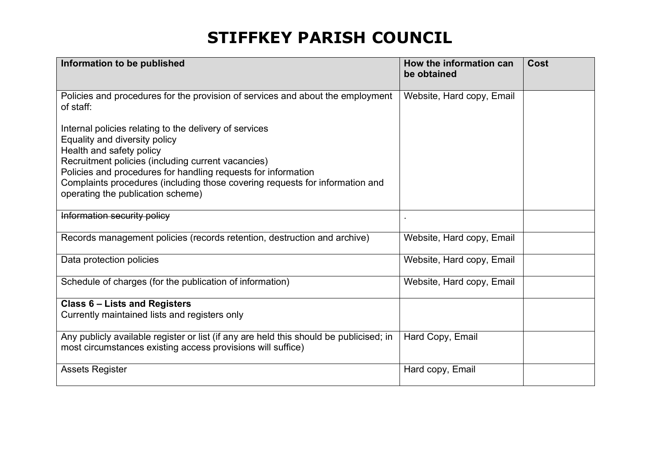| Information to be published                                                                                                                                                                                                                                                                                                                                     | How the information can<br>be obtained | Cost |
|-----------------------------------------------------------------------------------------------------------------------------------------------------------------------------------------------------------------------------------------------------------------------------------------------------------------------------------------------------------------|----------------------------------------|------|
| Policies and procedures for the provision of services and about the employment<br>of staff:                                                                                                                                                                                                                                                                     | Website, Hard copy, Email              |      |
| Internal policies relating to the delivery of services<br>Equality and diversity policy<br>Health and safety policy<br>Recruitment policies (including current vacancies)<br>Policies and procedures for handling requests for information<br>Complaints procedures (including those covering requests for information and<br>operating the publication scheme) |                                        |      |
| Information security policy                                                                                                                                                                                                                                                                                                                                     |                                        |      |
| Records management policies (records retention, destruction and archive)                                                                                                                                                                                                                                                                                        | Website, Hard copy, Email              |      |
| Data protection policies                                                                                                                                                                                                                                                                                                                                        | Website, Hard copy, Email              |      |
| Schedule of charges (for the publication of information)                                                                                                                                                                                                                                                                                                        | Website, Hard copy, Email              |      |
| <b>Class 6 - Lists and Registers</b><br>Currently maintained lists and registers only                                                                                                                                                                                                                                                                           |                                        |      |
| Any publicly available register or list (if any are held this should be publicised; in<br>most circumstances existing access provisions will suffice)                                                                                                                                                                                                           | Hard Copy, Email                       |      |
| <b>Assets Register</b>                                                                                                                                                                                                                                                                                                                                          | Hard copy, Email                       |      |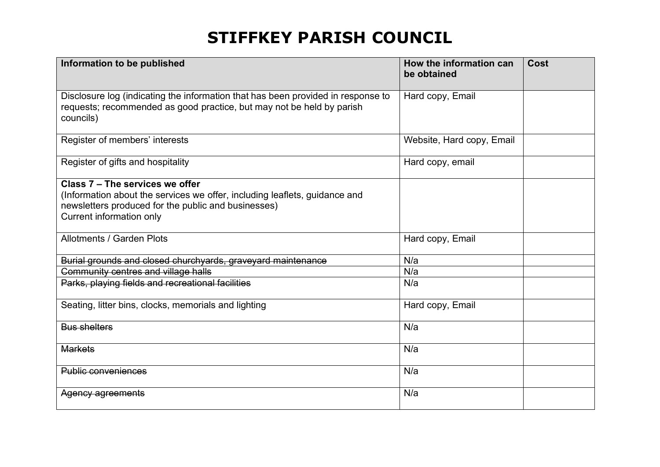| Information to be published                                                                                                                                                                      | How the information can<br>be obtained | Cost |
|--------------------------------------------------------------------------------------------------------------------------------------------------------------------------------------------------|----------------------------------------|------|
| Disclosure log (indicating the information that has been provided in response to<br>requests; recommended as good practice, but may not be held by parish<br>councils)                           | Hard copy, Email                       |      |
| Register of members' interests                                                                                                                                                                   | Website, Hard copy, Email              |      |
| Register of gifts and hospitality                                                                                                                                                                | Hard copy, email                       |      |
| Class 7 - The services we offer<br>(Information about the services we offer, including leaflets, guidance and<br>newsletters produced for the public and businesses)<br>Current information only |                                        |      |
| Allotments / Garden Plots                                                                                                                                                                        | Hard copy, Email                       |      |
| Burial grounds and closed churchyards, graveyard maintenance                                                                                                                                     | N/a                                    |      |
| Community centres and village halls                                                                                                                                                              | N/a                                    |      |
| Parks, playing fields and recreational facilities                                                                                                                                                | N/a                                    |      |
| Seating, litter bins, clocks, memorials and lighting                                                                                                                                             | Hard copy, Email                       |      |
| <b>Bus shelters</b>                                                                                                                                                                              | N/a                                    |      |
| <b>Markets</b>                                                                                                                                                                                   | N/a                                    |      |
| <b>Public conveniences</b>                                                                                                                                                                       | N/a                                    |      |
| Agency agreements                                                                                                                                                                                | N/a                                    |      |